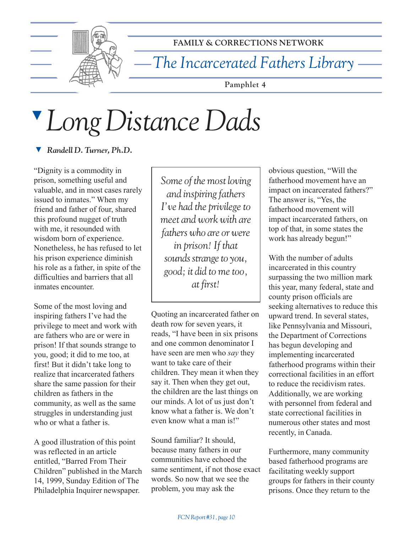

**FAMILY & CORRECTIONS NETWORK**

*The Incarcerated Fathers Library*

**Pamphlet 4**

## ▼ *Long Distance Dads*

▼ *Randell D. Turner, Ph.D.*

ìDignity is a commodity in prison, something useful and valuable, and in most cases rarely issued to inmates." When my friend and father of four, shared this profound nugget of truth with me, it resounded with wisdom born of experience. Nonetheless, he has refused to let his prison experience diminish his role as a father, in spite of the difficulties and barriers that all inmates encounter.

Some of the most loving and inspiring fathers I've had the privilege to meet and work with are fathers who are or were in prison! If that sounds strange to you, good; it did to me too, at first! But it didn't take long to realize that incarcerated fathers share the same passion for their children as fathers in the community, as well as the same struggles in understanding just who or what a father is.

A good illustration of this point was reflected in an article entitled. "Barred From Their Children" published in the March 14, 1999, Sunday Edition of The Philadelphia Inquirer newspaper.

*Some of the most loving and inspiring fathers I've had the privilege to meet and work with are fathers who are or were in prison! If that sounds strange to you, good; it did to me too, at first!*

Quoting an incarcerated father on death row for seven years, it reads, "I have been in six prisons and one common denominator I have seen are men who *say* they want to take care of their children. They mean it when they say it. Then when they get out, the children are the last things on our minds. A lot of us just don't know what a father is. We don't even know what a man is!"

Sound familiar? It should, because many fathers in our communities have echoed the same sentiment, if not those exact words. So now that we see the problem, you may ask the

obvious question, "Will the fatherhood movement have an impact on incarcerated fathers?" The answer is, "Yes, the fatherhood movement will impact incarcerated fathers, on top of that, in some states the work has already begun!"

With the number of adults incarcerated in this country surpassing the two million mark this year, many federal, state and county prison officials are seeking alternatives to reduce this upward trend. In several states, like Pennsylvania and Missouri, the Department of Corrections has begun developing and implementing incarcerated fatherhood programs within their correctional facilities in an effort to reduce the recidivism rates. Additionally, we are working with personnel from federal and state correctional facilities in numerous other states and most recently, in Canada.

Furthermore, many community based fatherhood programs are facilitating weekly support groups for fathers in their county prisons. Once they return to the